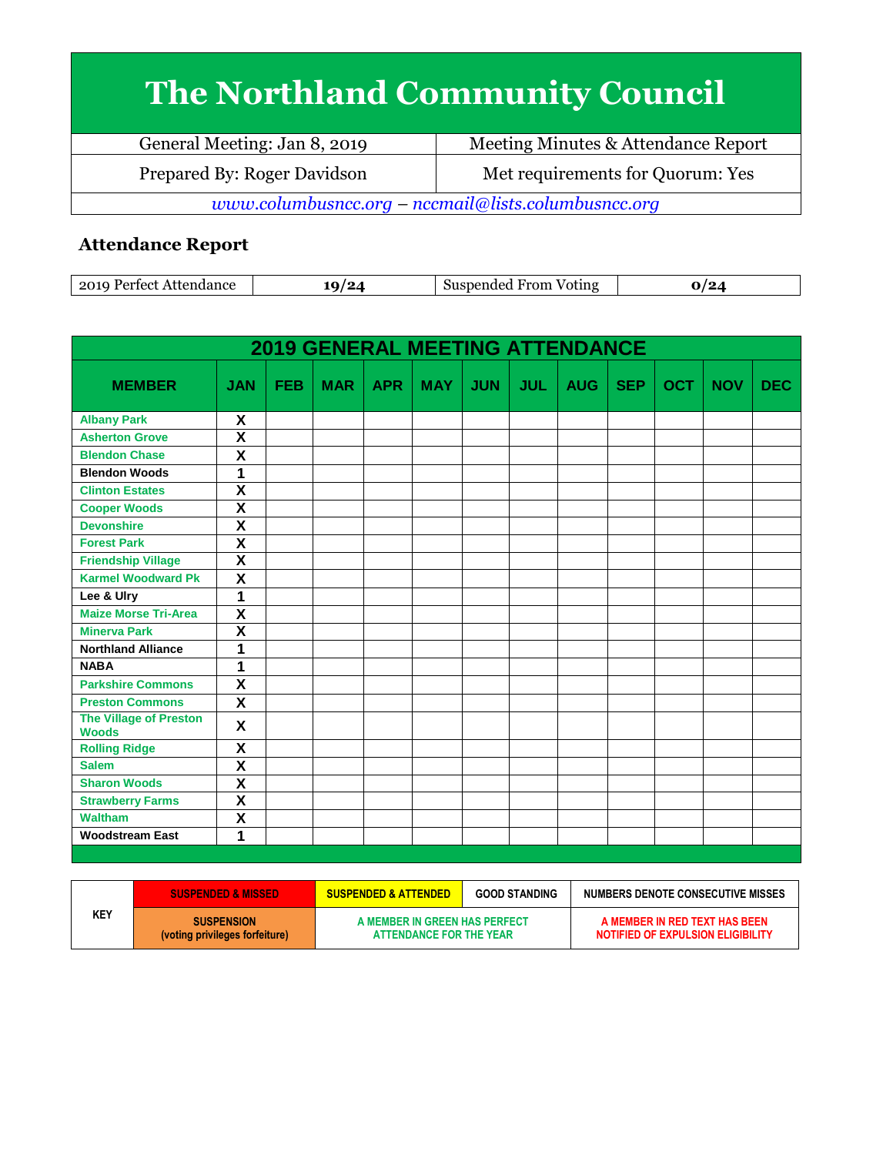## **The Northland Community Council**

| General Meeting: Jan 8, 2019                        | Meeting Minutes & Attendance Report |  |  |  |
|-----------------------------------------------------|-------------------------------------|--|--|--|
| Prepared By: Roger Davidson                         | Met requirements for Quorum: Yes    |  |  |  |
| www.columbusncc.org - nccmail@lists.columbusncc.org |                                     |  |  |  |

## **Attendance Report**

| ാവ ല<br>'ertect<br>longo<br>▵<br>наанс<br>107 | ה | From<br>Voting<br>ച പ<br>. 10e <sup>7</sup> |  |
|-----------------------------------------------|---|---------------------------------------------|--|
|-----------------------------------------------|---|---------------------------------------------|--|

|                                               |                         |            | <b>2019 GENERAL MEETING ATTENDANCE</b> |            |            |            |            |            |            |            |            |            |
|-----------------------------------------------|-------------------------|------------|----------------------------------------|------------|------------|------------|------------|------------|------------|------------|------------|------------|
| <b>MEMBER</b>                                 | <b>JAN</b>              | <b>FEB</b> | <b>MAR</b>                             | <b>APR</b> | <b>MAY</b> | <b>JUN</b> | <b>JUL</b> | <b>AUG</b> | <b>SEP</b> | <b>OCT</b> | <b>NOV</b> | <b>DEC</b> |
| <b>Albany Park</b>                            | X                       |            |                                        |            |            |            |            |            |            |            |            |            |
| <b>Asherton Grove</b>                         | $\overline{\mathsf{x}}$ |            |                                        |            |            |            |            |            |            |            |            |            |
| <b>Blendon Chase</b>                          | X                       |            |                                        |            |            |            |            |            |            |            |            |            |
| <b>Blendon Woods</b>                          | 1                       |            |                                        |            |            |            |            |            |            |            |            |            |
| <b>Clinton Estates</b>                        | $\overline{\mathsf{x}}$ |            |                                        |            |            |            |            |            |            |            |            |            |
| <b>Cooper Woods</b>                           | $\overline{\mathsf{x}}$ |            |                                        |            |            |            |            |            |            |            |            |            |
| <b>Devonshire</b>                             | $\overline{\mathsf{x}}$ |            |                                        |            |            |            |            |            |            |            |            |            |
| <b>Forest Park</b>                            | $\overline{\mathsf{x}}$ |            |                                        |            |            |            |            |            |            |            |            |            |
| <b>Friendship Village</b>                     | $\overline{\mathsf{x}}$ |            |                                        |            |            |            |            |            |            |            |            |            |
| <b>Karmel Woodward Pk</b>                     | $\overline{\mathsf{x}}$ |            |                                        |            |            |            |            |            |            |            |            |            |
| Lee & Ulry                                    | 1                       |            |                                        |            |            |            |            |            |            |            |            |            |
| <b>Maize Morse Tri-Area</b>                   | $\overline{\mathbf{x}}$ |            |                                        |            |            |            |            |            |            |            |            |            |
| <b>Minerva Park</b>                           | $\overline{\textsf{x}}$ |            |                                        |            |            |            |            |            |            |            |            |            |
| <b>Northland Alliance</b>                     | 1                       |            |                                        |            |            |            |            |            |            |            |            |            |
| <b>NABA</b>                                   | 1                       |            |                                        |            |            |            |            |            |            |            |            |            |
| <b>Parkshire Commons</b>                      | X                       |            |                                        |            |            |            |            |            |            |            |            |            |
| <b>Preston Commons</b>                        | X                       |            |                                        |            |            |            |            |            |            |            |            |            |
| <b>The Village of Preston</b><br><b>Woods</b> | X                       |            |                                        |            |            |            |            |            |            |            |            |            |
| <b>Rolling Ridge</b>                          | X                       |            |                                        |            |            |            |            |            |            |            |            |            |
| <b>Salem</b>                                  | $\overline{\mathbf{X}}$ |            |                                        |            |            |            |            |            |            |            |            |            |
| <b>Sharon Woods</b>                           | $\overline{\mathsf{x}}$ |            |                                        |            |            |            |            |            |            |            |            |            |
| <b>Strawberry Farms</b>                       | $\overline{\textsf{x}}$ |            |                                        |            |            |            |            |            |            |            |            |            |
| <b>Waltham</b>                                | X                       |            |                                        |            |            |            |            |            |            |            |            |            |
| <b>Woodstream East</b>                        | 1                       |            |                                        |            |            |            |            |            |            |            |            |            |
|                                               |                         |            |                                        |            |            |            |            |            |            |            |            |            |

|     | <b>SUSPENDED &amp; MISSED</b>                       | <b>SUSPENDED &amp; ATTENDED</b>                          | <b>GOOD STANDING</b> | <b>NUMBERS DENOTE CONSECUTIVE MISSES</b>                           |
|-----|-----------------------------------------------------|----------------------------------------------------------|----------------------|--------------------------------------------------------------------|
| KEY | <b>SUSPENSION</b><br>(voting privileges forfeiture) | A MEMBER IN GREEN HAS PERFECT<br>ATTENDANCE FOR THE YEAR |                      | A MEMBER IN RED TEXT HAS BEEN<br>NOTIFIED OF EXPULSION ELIGIBILITY |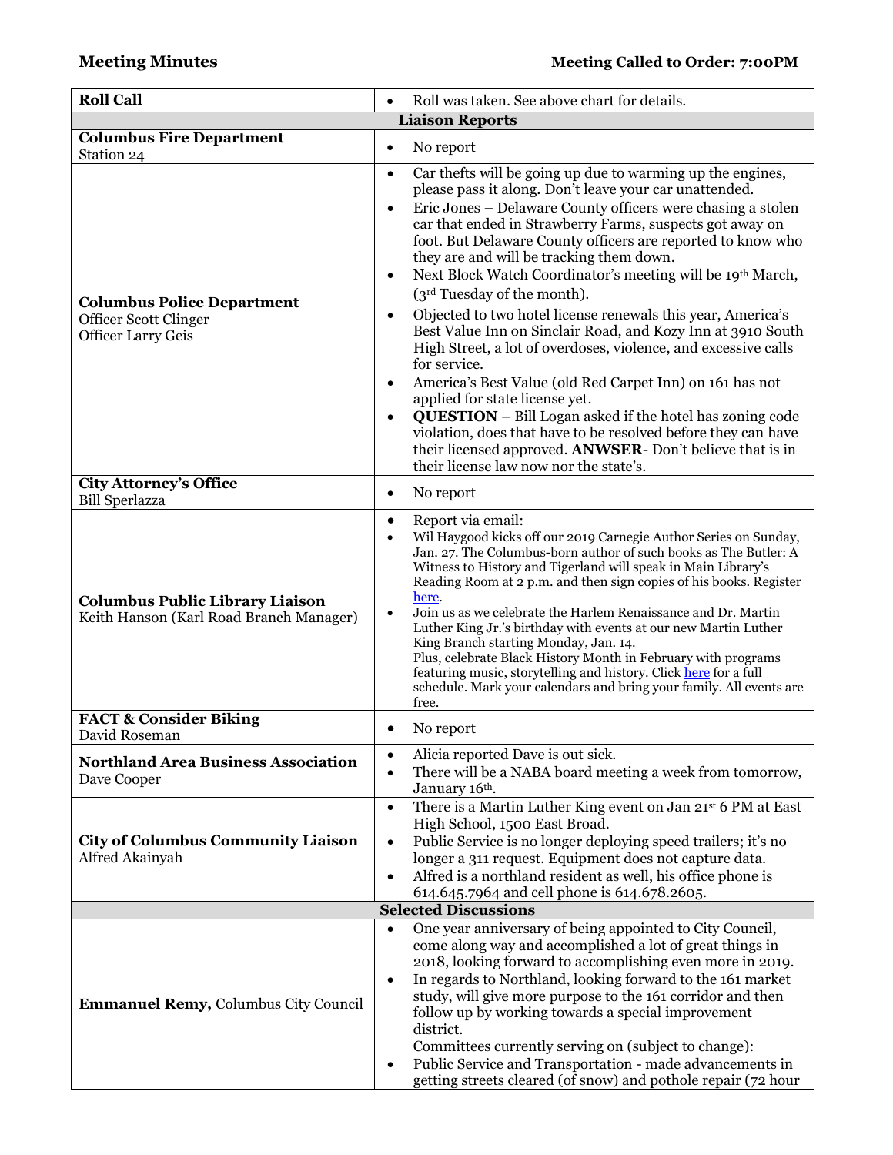| <b>Roll Call</b>                                                                               | Roll was taken. See above chart for details.                                                                                                                                                                                                                                                                                                                                                                                                                                                                                                                                                                                                                                                                                                                                                                                                                                                                                                                                                                                                                                   |
|------------------------------------------------------------------------------------------------|--------------------------------------------------------------------------------------------------------------------------------------------------------------------------------------------------------------------------------------------------------------------------------------------------------------------------------------------------------------------------------------------------------------------------------------------------------------------------------------------------------------------------------------------------------------------------------------------------------------------------------------------------------------------------------------------------------------------------------------------------------------------------------------------------------------------------------------------------------------------------------------------------------------------------------------------------------------------------------------------------------------------------------------------------------------------------------|
|                                                                                                | <b>Liaison Reports</b>                                                                                                                                                                                                                                                                                                                                                                                                                                                                                                                                                                                                                                                                                                                                                                                                                                                                                                                                                                                                                                                         |
| <b>Columbus Fire Department</b><br>Station 24                                                  | No report<br>$\bullet$                                                                                                                                                                                                                                                                                                                                                                                                                                                                                                                                                                                                                                                                                                                                                                                                                                                                                                                                                                                                                                                         |
| <b>Columbus Police Department</b><br><b>Officer Scott Clinger</b><br><b>Officer Larry Geis</b> | Car thefts will be going up due to warming up the engines,<br>$\bullet$<br>please pass it along. Don't leave your car unattended.<br>Eric Jones – Delaware County officers were chasing a stolen<br>$\bullet$<br>car that ended in Strawberry Farms, suspects got away on<br>foot. But Delaware County officers are reported to know who<br>they are and will be tracking them down.<br>Next Block Watch Coordinator's meeting will be 19th March,<br>٠<br>(3rd Tuesday of the month).<br>Objected to two hotel license renewals this year, America's<br>$\bullet$<br>Best Value Inn on Sinclair Road, and Kozy Inn at 3910 South<br>High Street, a lot of overdoses, violence, and excessive calls<br>for service.<br>America's Best Value (old Red Carpet Inn) on 161 has not<br>٠<br>applied for state license yet.<br><b>QUESTION</b> - Bill Logan asked if the hotel has zoning code<br>$\bullet$<br>violation, does that have to be resolved before they can have<br>their licensed approved. ANWSER- Don't believe that is in<br>their license law now nor the state's. |
| <b>City Attorney's Office</b><br><b>Bill Sperlazza</b>                                         | No report<br>$\bullet$                                                                                                                                                                                                                                                                                                                                                                                                                                                                                                                                                                                                                                                                                                                                                                                                                                                                                                                                                                                                                                                         |
| <b>Columbus Public Library Liaison</b><br>Keith Hanson (Karl Road Branch Manager)              | Report via email:<br>$\bullet$<br>Wil Haygood kicks off our 2019 Carnegie Author Series on Sunday,<br>$\bullet$<br>Jan. 27. The Columbus-born author of such books as The Butler: A<br>Witness to History and Tigerland will speak in Main Library's<br>Reading Room at 2 p.m. and then sign copies of his books. Register<br>here.<br>Join us as we celebrate the Harlem Renaissance and Dr. Martin<br>$\bullet$<br>Luther King Jr.'s birthday with events at our new Martin Luther<br>King Branch starting Monday, Jan. 14.<br>Plus, celebrate Black History Month in February with programs<br>featuring music, storytelling and history. Click here for a full<br>schedule. Mark your calendars and bring your family. All events are<br>free.                                                                                                                                                                                                                                                                                                                             |
| <b>FACT &amp; Consider Biking</b><br>David Roseman                                             | No report                                                                                                                                                                                                                                                                                                                                                                                                                                                                                                                                                                                                                                                                                                                                                                                                                                                                                                                                                                                                                                                                      |
| <b>Northland Area Business Association</b><br>Dave Cooper                                      | Alicia reported Dave is out sick.<br>$\bullet$<br>There will be a NABA board meeting a week from tomorrow,<br>$\bullet$<br>January 16th.                                                                                                                                                                                                                                                                                                                                                                                                                                                                                                                                                                                                                                                                                                                                                                                                                                                                                                                                       |
| <b>City of Columbus Community Liaison</b><br>Alfred Akainyah                                   | There is a Martin Luther King event on Jan 21st 6 PM at East<br>$\bullet$<br>High School, 1500 East Broad.<br>Public Service is no longer deploying speed trailers; it's no<br>$\bullet$<br>longer a 311 request. Equipment does not capture data.<br>Alfred is a northland resident as well, his office phone is<br>$\bullet$<br>614.645.7964 and cell phone is 614.678.2605.<br><b>Selected Discussions</b>                                                                                                                                                                                                                                                                                                                                                                                                                                                                                                                                                                                                                                                                  |
|                                                                                                | One year anniversary of being appointed to City Council,<br>$\bullet$                                                                                                                                                                                                                                                                                                                                                                                                                                                                                                                                                                                                                                                                                                                                                                                                                                                                                                                                                                                                          |
| <b>Emmanuel Remy, Columbus City Council</b>                                                    | come along way and accomplished a lot of great things in<br>2018, looking forward to accomplishing even more in 2019.<br>In regards to Northland, looking forward to the 161 market<br>$\bullet$<br>study, will give more purpose to the 161 corridor and then<br>follow up by working towards a special improvement<br>district.<br>Committees currently serving on (subject to change):<br>Public Service and Transportation - made advancements in<br>getting streets cleared (of snow) and pothole repair (72 hour                                                                                                                                                                                                                                                                                                                                                                                                                                                                                                                                                         |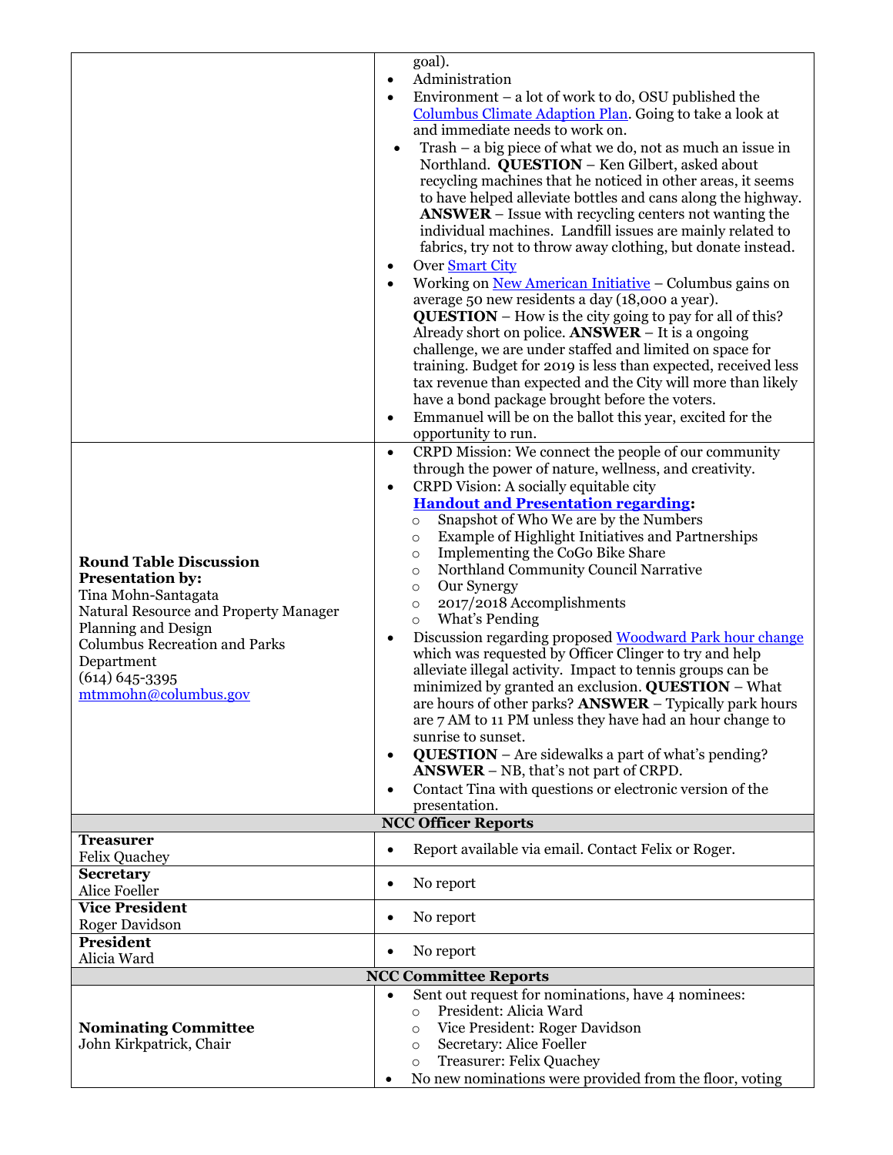|                                                | goal).                                                                                                                      |
|------------------------------------------------|-----------------------------------------------------------------------------------------------------------------------------|
|                                                | Administration<br>$\bullet$                                                                                                 |
|                                                | Environment – a lot of work to do, OSU published the<br>$\bullet$                                                           |
|                                                | Columbus Climate Adaption Plan. Going to take a look at                                                                     |
|                                                | and immediate needs to work on.                                                                                             |
|                                                | Trash – a big piece of what we do, not as much an issue in                                                                  |
|                                                | Northland. QUESTION - Ken Gilbert, asked about                                                                              |
|                                                | recycling machines that he noticed in other areas, it seems<br>to have helped alleviate bottles and cans along the highway. |
|                                                | $ANSWER - Issue with recycling centers not wanting the$                                                                     |
|                                                | individual machines. Landfill issues are mainly related to                                                                  |
|                                                | fabrics, try not to throw away clothing, but donate instead.                                                                |
|                                                | Over <b>Smart City</b><br>$\bullet$                                                                                         |
|                                                | Working on <u>New American Initiative</u> – Columbus gains on<br>$\bullet$                                                  |
|                                                | average 50 new residents a day (18,000 a year).                                                                             |
|                                                | <b>QUESTION</b> – How is the city going to pay for all of this?                                                             |
|                                                | Already short on police. <b>ANSWER</b> $-$ It is a ongoing<br>challenge, we are under staffed and limited on space for      |
|                                                | training. Budget for 2019 is less than expected, received less                                                              |
|                                                | tax revenue than expected and the City will more than likely                                                                |
|                                                | have a bond package brought before the voters.                                                                              |
|                                                | Emmanuel will be on the ballot this year, excited for the<br>$\bullet$                                                      |
|                                                | opportunity to run.                                                                                                         |
|                                                | CRPD Mission: We connect the people of our community<br>$\bullet$                                                           |
|                                                | through the power of nature, wellness, and creativity.                                                                      |
|                                                | CRPD Vision: A socially equitable city<br>$\bullet$<br><b>Handout and Presentation regarding:</b>                           |
|                                                | Snapshot of Who We are by the Numbers<br>$\circ$                                                                            |
|                                                | <b>Example of Highlight Initiatives and Partnerships</b><br>$\circ$                                                         |
| <b>Round Table Discussion</b>                  | Implementing the CoGo Bike Share<br>O                                                                                       |
| <b>Presentation by:</b>                        | Northland Community Council Narrative<br>$\circ$                                                                            |
| Tina Mohn-Santagata                            | Our Synergy<br>$\circ$                                                                                                      |
| Natural Resource and Property Manager          | 2017/2018 Accomplishments<br>$\circ$<br>What's Pending                                                                      |
| Planning and Design                            | $\circ$<br>Discussion regarding proposed Woodward Park hour change<br>$\bullet$                                             |
| <b>Columbus Recreation and Parks</b>           | which was requested by Officer Clinger to try and help                                                                      |
| Department                                     | alleviate illegal activity. Impact to tennis groups can be                                                                  |
| $(614) 645 - 3395$<br>mtmmohn@columbus.gov     | minimized by granted an exclusion. QUESTION - What                                                                          |
|                                                | are hours of other parks? ANSWER - Typically park hours                                                                     |
|                                                | are 7 AM to 11 PM unless they have had an hour change to<br>sunrise to sunset.                                              |
|                                                | QUESTION - Are sidewalks a part of what's pending?<br>$\bullet$                                                             |
|                                                | <b>ANSWER</b> – NB, that's not part of CRPD.                                                                                |
|                                                | Contact Tina with questions or electronic version of the<br>$\bullet$                                                       |
|                                                | presentation.                                                                                                               |
| <b>Treasurer</b>                               | <b>NCC Officer Reports</b>                                                                                                  |
| <b>Felix Quachey</b>                           | Report available via email. Contact Felix or Roger.<br>$\bullet$                                                            |
| <b>Secretary</b>                               |                                                                                                                             |
| <b>Alice Foeller</b>                           | No report<br>٠                                                                                                              |
| <b>Vice President</b><br><b>Roger Davidson</b> | No report<br>٠                                                                                                              |
| <b>President</b>                               |                                                                                                                             |
| Alicia Ward                                    | No report<br>$\bullet$                                                                                                      |
|                                                | <b>NCC Committee Reports</b>                                                                                                |
|                                                | Sent out request for nominations, have 4 nominees:<br>$\bullet$<br>President: Alicia Ward                                   |
| <b>Nominating Committee</b>                    | $\circ$<br>Vice President: Roger Davidson<br>$\circ$                                                                        |
| John Kirkpatrick, Chair                        | Secretary: Alice Foeller<br>$\circ$                                                                                         |
|                                                | Treasurer: Felix Quachey<br>$\circ$                                                                                         |
|                                                | No new nominations were provided from the floor, voting                                                                     |